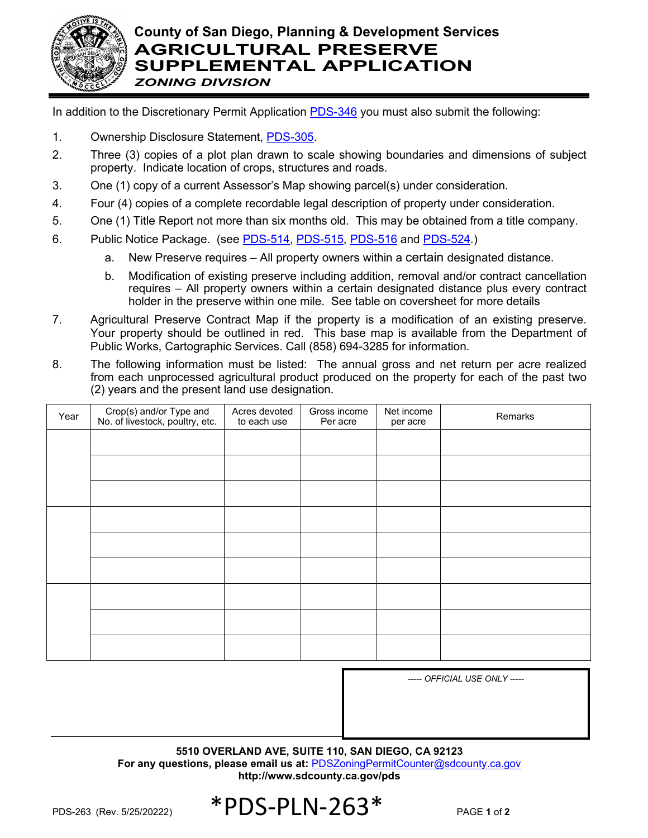

In addition to the Discretionary Permit Application [PDS-346](http://www.sdcounty.ca.gov/pds/zoning/formfields/PDS-PLN-346.pdf) you must also submit the following:

- 1. Ownership Disclosure Statement, [PDS-305.](http://www.sdcounty.ca.gov/pds/zoning/formfields/PDS-PLN-305.pdf)
- 2. Three (3) copies of a plot plan drawn to scale showing boundaries and dimensions of subject property. Indicate location of crops, structures and roads.
- 3. One (1) copy of a current Assessor's Map showing parcel(s) under consideration.
- 4. Four (4) copies of a complete recordable legal description of property under consideration.
- 5. One (1) Title Report not more than six months old. This may be obtained from a title company.
- 6. Public Notice Package. (see [PDS-514,](http://www.sdcounty.ca.gov/pds/zoning/formfields/PDS-PLN-514.pdf) [PDS-515,](http://www.sdcounty.ca.gov/pds/zoning/formfields/PDS-PLN-515.pdf) [PDS-516](http://www.sdcounty.ca.gov/pds/zoning/formfields/PDS-PLN-516.pdf) and [PDS-524.](http://www.sdcounty.ca.gov/pds/zoning/formfields/PDS-PLN-524.pdf))
	- a. New Preserve requires All property owners within a certain designated distance.
	- b. Modification of existing preserve including addition, removal and/or contract cancellation requires – All property owners within a certain designated distance plus every contract holder in the preserve within one mile. See table on coversheet for more details
- 7. Agricultural Preserve Contract Map if the property is a modification of an existing preserve. Your property should be outlined in red. This base map is available from the Department of Public Works, Cartographic Services. Call (858) 694-3285 for information.
- 8. The following information must be listed: The annual gross and net return per acre realized from each unprocessed agricultural product produced on the property for each of the past two (2) years and the present land use designation.

| Year | Crop(s) and/or Type and<br>No. of livestock, poultry, etc. | Acres devoted<br>to each use | Gross income<br>Per acre | Net income<br>per acre | Remarks |
|------|------------------------------------------------------------|------------------------------|--------------------------|------------------------|---------|
|      |                                                            |                              |                          |                        |         |
|      |                                                            |                              |                          |                        |         |
|      |                                                            |                              |                          |                        |         |
|      |                                                            |                              |                          |                        |         |
|      |                                                            |                              |                          |                        |         |
|      |                                                            |                              |                          |                        |         |
|      |                                                            |                              |                          |                        |         |
|      |                                                            |                              |                          |                        |         |
|      |                                                            |                              |                          |                        |         |

*----- OFFICIAL USE ONLY -----*

**5510 OVERLAND AVE, SUITE 110, SAN DIEGO, CA 92123 For any questions, please email us at:** [PDSZoningPermitCounter@sdcounty.ca.gov](mailto:PDSZoningPermitCounter@sdcounty.ca.gov) **<http://www.sdcounty.ca.gov/pds>**